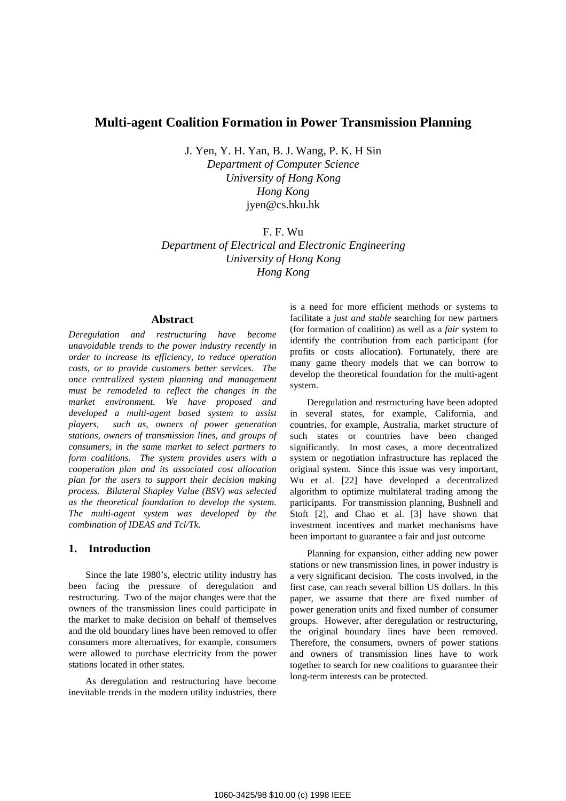# **Multi-agent Coalition Formation in Power Transmission Planning**

J. Yen, Y. H. Yan, B. J. Wang, P. K. H Sin *Department of Computer Science University of Hong Kong Hong Kong* jyen@cs.hku.hk

F. F. Wu *Department of Electrical and Electronic Engineering University of Hong Kong Hong Kong*

### **Abstract**

*Deregulation and restructuring have become unavoidable trends to the power industry recently in order to increase its efficiency, to reduce operation costs, or to provide customers better services. The once centralized system planning and management must be remodeled to reflect the changes in the market environment. We have proposed and developed a multi-agent based system to assist players, such as, owners of power generation stations, owners of transmission lines, and groups of consumers, in the same market to select partners to form coalitions. The system provides users with a cooperation plan and its associated cost allocation plan for the users to support their decision making process. Bilateral Shapley Value (BSV) was selected as the theoretical foundation to develop the system. The multi-agent system was developed by the combination of IDEAS and Tcl/Tk.*

## **1. Introduction**

Since the late 1980's, electric utility industry has been facing the pressure of deregulation and restructuring. Two of the major changes were that the owners of the transmission lines could participate in the market to make decision on behalf of themselves and the old boundary lines have been removed to offer consumers more alternatives, for example, consumers were allowed to purchase electricity from the power stations located in other states.

As deregulation and restructuring have become inevitable trends in the modern utility industries, there is a need for more efficient methods or systems to facilitate a *just and stable* searching for new partners (for formation of coalition) as well as a *fair* system to identify the contribution from each participant (for profits or costs allocation**)**. Fortunately, there are many game theory models that we can borrow to develop the theoretical foundation for the multi-agent system.

Deregulation and restructuring have been adopted in several states, for example, California, and countries, for example, Australia, market structure of such states or countries have been changed significantly. In most cases, a more decentralized system or negotiation infrastructure has replaced the original system. Since this issue was very important, Wu et al. [22] have developed a decentralized algorithm to optimize multilateral trading among the participants. For transmission planning, Bushnell and Stoft [2], and Chao et al. [3] have shown that investment incentives and market mechanisms have been important to guarantee a fair and just outcome

Planning for expansion, either adding new power stations or new transmission lines, in power industry is a very significant decision. The costs involved, in the first case, can reach several billion US dollars. In this paper, we assume that there are fixed number of power generation units and fixed number of consumer groups. However, after deregulation or restructuring, the original boundary lines have been removed. Therefore, the consumers, owners of power stations and owners of transmission lines have to work together to search for new coalitions to guarantee their long-term interests can be protected.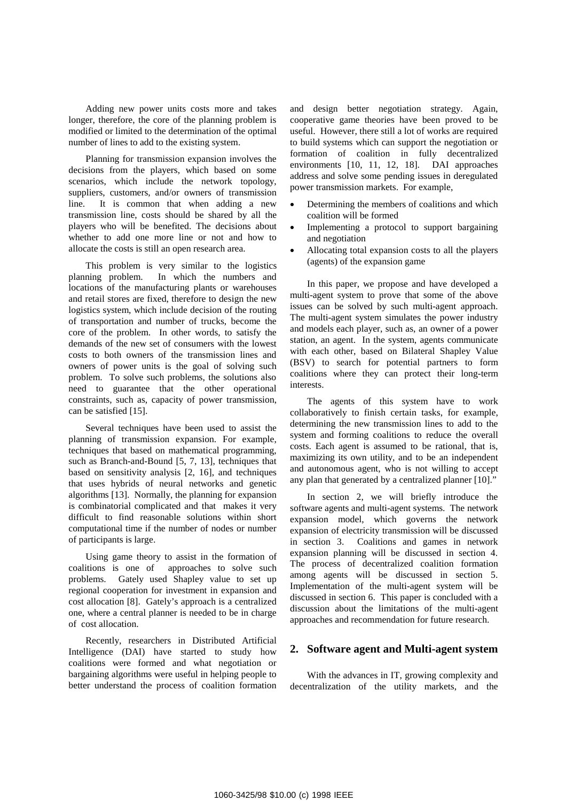Adding new power units costs more and takes longer, therefore, the core of the planning problem is modified or limited to the determination of the optimal number of lines to add to the existing system.

Planning for transmission expansion involves the decisions from the players, which based on some scenarios, which include the network topology, suppliers, customers, and/or owners of transmission line. It is common that when adding a new transmission line, costs should be shared by all the players who will be benefited. The decisions about whether to add one more line or not and how to allocate the costs is still an open research area.

This problem is very similar to the logistics planning problem. In which the numbers and locations of the manufacturing plants or warehouses and retail stores are fixed, therefore to design the new logistics system, which include decision of the routing of transportation and number of trucks, become the core of the problem. In other words, to satisfy the demands of the new set of consumers with the lowest costs to both owners of the transmission lines and owners of power units is the goal of solving such problem. To solve such problems, the solutions also need to guarantee that the other operational constraints, such as, capacity of power transmission, can be satisfied [15].

Several techniques have been used to assist the planning of transmission expansion. For example, techniques that based on mathematical programming, such as Branch-and-Bound [5, 7, 13], techniques that based on sensitivity analysis [2, 16], and techniques that uses hybrids of neural networks and genetic algorithms [13]. Normally, the planning for expansion is combinatorial complicated and that makes it very difficult to find reasonable solutions within short computational time if the number of nodes or number of participants is large.

Using game theory to assist in the formation of coalitions is one of approaches to solve such problems. Gately used Shapley value to set up regional cooperation for investment in expansion and cost allocation [8]. Gately's approach is a centralized one, where a central planner is needed to be in charge of cost allocation.

Recently, researchers in Distributed Artificial Intelligence (DAI) have started to study how coalitions were formed and what negotiation or bargaining algorithms were useful in helping people to better understand the process of coalition formation

and design better negotiation strategy. Again, cooperative game theories have been proved to be useful. However, there still a lot of works are required to build systems which can support the negotiation or formation of coalition in fully decentralized environments [10, 11, 12, 18]. DAI approaches address and solve some pending issues in deregulated power transmission markets. For example,

- Determining the members of coalitions and which coalition will be formed
- Implementing a protocol to support bargaining and negotiation
- Allocating total expansion costs to all the players (agents) of the expansion game

In this paper, we propose and have developed a multi-agent system to prove that some of the above issues can be solved by such multi-agent approach. The multi-agent system simulates the power industry and models each player, such as, an owner of a power station, an agent. In the system, agents communicate with each other, based on Bilateral Shapley Value (BSV) to search for potential partners to form coalitions where they can protect their long-term interests.

The agents of this system have to work collaboratively to finish certain tasks, for example, determining the new transmission lines to add to the system and forming coalitions to reduce the overall costs. Each agent is assumed to be rational, that is, maximizing its own utility, and to be an independent and autonomous agent, who is not willing to accept any plan that generated by a centralized planner [10]."

In section 2, we will briefly introduce the software agents and multi-agent systems. The network expansion model, which governs the network expansion of electricity transmission will be discussed in section 3. Coalitions and games in network expansion planning will be discussed in section 4. The process of decentralized coalition formation among agents will be discussed in section 5. Implementation of the multi-agent system will be discussed in section 6. This paper is concluded with a discussion about the limitations of the multi-agent approaches and recommendation for future research.

## **2. Software agent and Multi-agent system**

With the advances in IT, growing complexity and decentralization of the utility markets, and the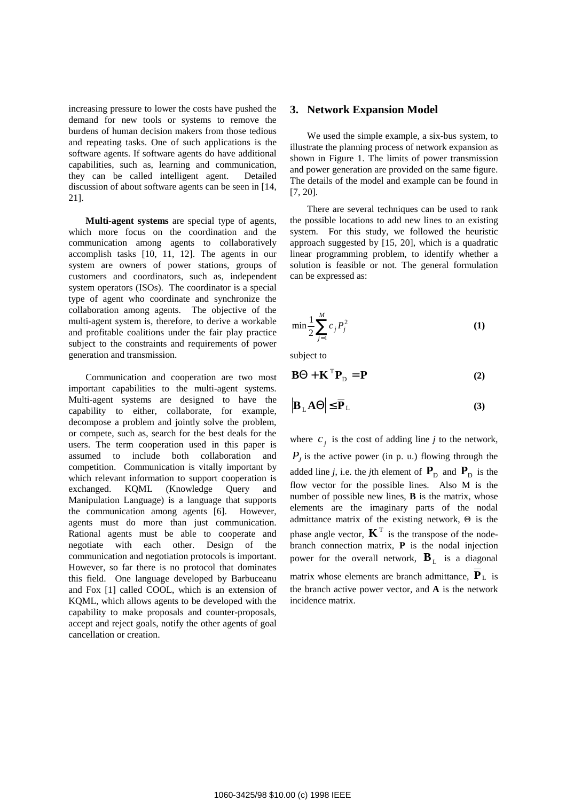increasing pressure to lower the costs have pushed the demand for new tools or systems to remove the burdens of human decision makers from those tedious and repeating tasks. One of such applications is the software agents. If software agents do have additional capabilities, such as, learning and communication, they can be called intelligent agent. Detailed discussion of about software agents can be seen in [14, 21].

**Multi-agent systems** are special type of agents, which more focus on the coordination and the communication among agents to collaboratively accomplish tasks [10, 11, 12]. The agents in our system are owners of power stations, groups of customers and coordinators, such as, independent system operators (ISOs). The coordinator is a special type of agent who coordinate and synchronize the collaboration among agents. The objective of the multi-agent system is, therefore, to derive a workable and profitable coalitions under the fair play practice subject to the constraints and requirements of power generation and transmission.

Communication and cooperation are two most important capabilities to the multi-agent systems. Multi-agent systems are designed to have the capability to either, collaborate, for example, decompose a problem and jointly solve the problem, or compete, such as, search for the best deals for the users. The term cooperation used in this paper is assumed to include both collaboration and competition. Communication is vitally important by which relevant information to support cooperation is exchanged. KQML (Knowledge Query and Manipulation Language) is a language that supports the communication among agents [6]. However, agents must do more than just communication. Rational agents must be able to cooperate and negotiate with each other. Design of the communication and negotiation protocols is important. However, so far there is no protocol that dominates this field. One language developed by Barbuceanu and Fox [1] called COOL, which is an extension of KQML, which allows agents to be developed with the capability to make proposals and counter-proposals, accept and reject goals, notify the other agents of goal cancellation or creation.

### **3. Network Expansion Model**

We used the simple example, a six-bus system, to illustrate the planning process of network expansion as shown in Figure 1. The limits of power transmission and power generation are provided on the same figure. The details of the model and example can be found in [7, 20].

There are several techniques can be used to rank the possible locations to add new lines to an existing system. For this study, we followed the heuristic approach suggested by [15, 20], which is a quadratic linear programming problem, to identify whether a solution is feasible or not. The general formulation can be expressed as:

$$
\min \frac{1}{2} \sum_{j=1}^{M} c_j P_j^2
$$
 (1)

subject to

$$
\mathbf{B}\Theta + \mathbf{K}^{\mathrm{T}}\mathbf{P}_{\mathrm{D}} = \mathbf{P} \tag{2}
$$

$$
\left| \mathbf{B}_{\mathrm{L}} \mathbf{A} \Theta \right| \leq \overline{\mathbf{P}}_{\mathrm{L}} \tag{3}
$$

where  $c_j$  is the cost of adding line *j* to the network,  $P<sub>I</sub>$  is the active power (in p. u.) flowing through the added line *j*, i.e. the *j*th element of  $P_{\text{D}}$  and  $P_{\text{D}}$  is the flow vector for the possible lines. Also M is the number of possible new lines, **B** is the matrix, whose elements are the imaginary parts of the nodal admittance matrix of the existing network,  $\Theta$  is the phase angle vector,  $\mathbf{K}^T$  is the transpose of the nodebranch connection matrix, **P** is the nodal injection power for the overall network,  $\mathbf{B}_{\text{L}}$  is a diagonal matrix whose elements are branch admittance,  $P_L$  is the branch active power vector, and **A** is the network incidence matrix.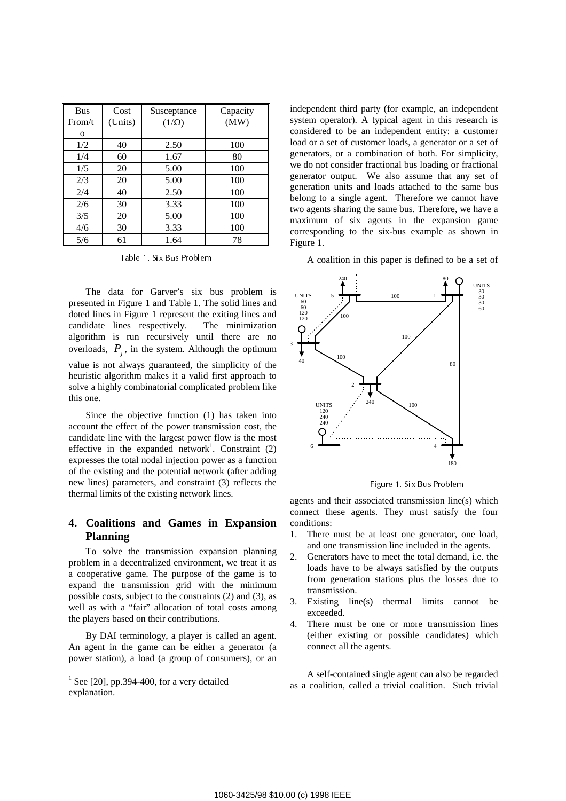| <b>Bus</b>   | Cost    | Susceptance  | Capacity |
|--------------|---------|--------------|----------|
| From/t       | (Units) | $(1/\Omega)$ | (MW)     |
| $\mathbf{O}$ |         |              |          |
| 1/2          | 40      | 2.50         | 100      |
| 1/4          | 60      | 1.67         | 80       |
| 1/5          | 20      | 5.00         | 100      |
| 2/3          | 20      | 5.00         | 100      |
| 2/4          | 40      | 2.50         | 100      |
| 2/6          | 30      | 3.33         | 100      |
| 3/5          | 20      | 5.00         | 100      |
| 4/6          | 30      | 3.33         | 100      |
| 5/6          | 61      | 1.64         | 78       |

Table 1. Six Bus Problem

The data for Garver's six bus problem is presented in Figure 1 and Table 1. The solid lines and doted lines in Figure 1 represent the exiting lines and candidate lines respectively. The minimization algorithm is run recursively until there are no overloads,  $P_i$ , in the system. Although the optimum value is not always guaranteed, the simplicity of the heuristic algorithm makes it a valid first approach to solve a highly combinatorial complicated problem like this one.

Since the objective function (1) has taken into account the effect of the power transmission cost, the candidate line with the largest power flow is the most effective in the expanded network<sup>1</sup>. Constraint  $(2)$ expresses the total nodal injection power as a function of the existing and the potential network (after adding new lines) parameters, and constraint (3) reflects the thermal limits of the existing network lines.

# **4. Coalitions and Games in Expansion Planning**

To solve the transmission expansion planning problem in a decentralized environment, we treat it as a cooperative game. The purpose of the game is to expand the transmission grid with the minimum possible costs, subject to the constraints (2) and (3), as well as with a "fair" allocation of total costs among the players based on their contributions.

By DAI terminology, a player is called an agent. An agent in the game can be either a generator (a power station), a load (a group of consumers), or an

 $\overline{a}$ 

independent third party (for example, an independent system operator). A typical agent in this research is considered to be an independent entity: a customer load or a set of customer loads, a generator or a set of generators, or a combination of both. For simplicity, we do not consider fractional bus loading or fractional generator output. We also assume that any set of generation units and loads attached to the same bus belong to a single agent. Therefore we cannot have two agents sharing the same bus. Therefore, we have a maximum of six agents in the expansion game corresponding to the six-bus example as shown in Figure 1.

A coalition in this paper is defined to be a set of



agents and their associated transmission line(s) which connect these agents. They must satisfy the four conditions:

- 1. There must be at least one generator, one load, and one transmission line included in the agents.
- 2. Generators have to meet the total demand, i.e. the loads have to be always satisfied by the outputs from generation stations plus the losses due to transmission.
- 3. Existing line(s) thermal limits cannot be exceeded.
- 4. There must be one or more transmission lines (either existing or possible candidates) which connect all the agents.

A self-contained single agent can also be regarded as a coalition, called a trivial coalition. Such trivial

 $1$  See [20], pp.394-400, for a very detailed explanation.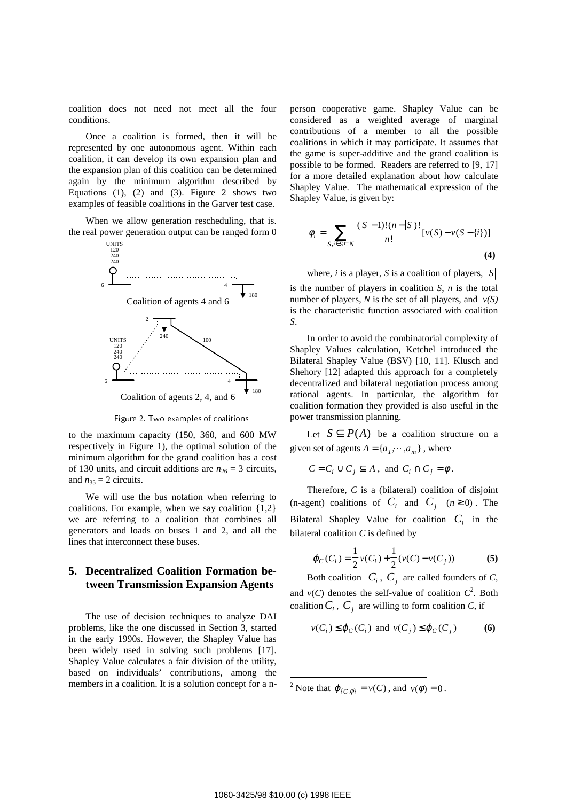coalition does not need not meet all the four conditions.

Once a coalition is formed, then it will be represented by one autonomous agent. Within each coalition, it can develop its own expansion plan and the expansion plan of this coalition can be determined again by the minimum algorithm described by Equations  $(1)$ ,  $(2)$  and  $(3)$ . Figure 2 shows two examples of feasible coalitions in the Garver test case.

When we allow generation rescheduling, that is. the real power generation output can be ranged form 0



Figure 2. Two examples of coalitions

to the maximum capacity (150, 360, and 600 MW respectively in Figure 1), the optimal solution of the minimum algorithm for the grand coalition has a cost of 130 units, and circuit additions are  $n_{26} = 3$  circuits, and  $n_{35} = 2$  circuits.

We will use the bus notation when referring to coalitions. For example, when we say coalition  $\{1,2\}$ we are referring to a coalition that combines all generators and loads on buses 1 and 2, and all the lines that interconnect these buses.

## **5. Decentralized Coalition Formation between Transmission Expansion Agents**

The use of decision techniques to analyze DAI problems, like the one discussed in Section 3, started in the early 1990s. However, the Shapley Value has been widely used in solving such problems [17]. Shapley Value calculates a fair division of the utility, based on individuals' contributions, among the members in a coalition. It is a solution concept for a n-

person cooperative game. Shapley Value can be considered as a weighted average of marginal contributions of a member to all the possible coalitions in which it may participate. It assumes that the game is super-additive and the grand coalition is possible to be formed. Readers are referred to [9, 17] for a more detailed explanation about how calculate Shapley Value. The mathematical expression of the Shapley Value, is given by:

$$
\phi_i = \sum_{S, i \in S \subset N} \frac{(|S| - 1)!(n - |S|)!}{n!} [\nu(S) - \nu(S - \{i\})]
$$
\n(4)

where, *i* is a player, *S* is a coalition of players,  $|S|$ 

is the number of players in coalition *S*, *n* is the total number of players, *N* is the set of all players, and *v(S)* is the characteristic function associated with coalition *S*.

In order to avoid the combinatorial complexity of Shapley Values calculation, Ketchel introduced the Bilateral Shapley Value (BSV) [10, 11]. Klusch and Shehory [12] adapted this approach for a completely decentralized and bilateral negotiation process among rational agents. In particular, the algorithm for coalition formation they provided is also useful in the power transmission planning.

Let  $S \subseteq P(A)$  be a coalition structure on a given set of agents  $A = \{a_1, \dots, a_m\}$ , where

$$
C = C_i \cup C_j \subseteq A \text{, and } C_i \cap C_j = \emptyset.
$$

Therefore, *C* is a (bilateral) coalition of disjoint (n-agent) coalitions of  $C_i$  and  $C_j$   $(n \ge 0)$ . The Bilateral Shapley Value for coalition  $C_i$  in the bilateral coalition *C* is defined by

$$
\varphi_C(C_i) = \frac{1}{2} \nu(C_i) + \frac{1}{2} (\nu(C) - \nu(C_j))
$$
\n(5)

Both coalition  $C_i$ ,  $C_j$  are called founders of *C*, and  $v(C)$  denotes the self-value of coalition  $C^2$ . Both coalition  $C_i$ ,  $C_j$  are willing to form coalition *C*, if

$$
v(C_i) \le \varphi_C(C_i) \text{ and } v(C_j) \le \varphi_C(C_j) \tag{6}
$$

<sup>2</sup> Note that  $\varphi_{\{C,\phi\}} = v(C)$ , and  $v(\phi) = 0$ .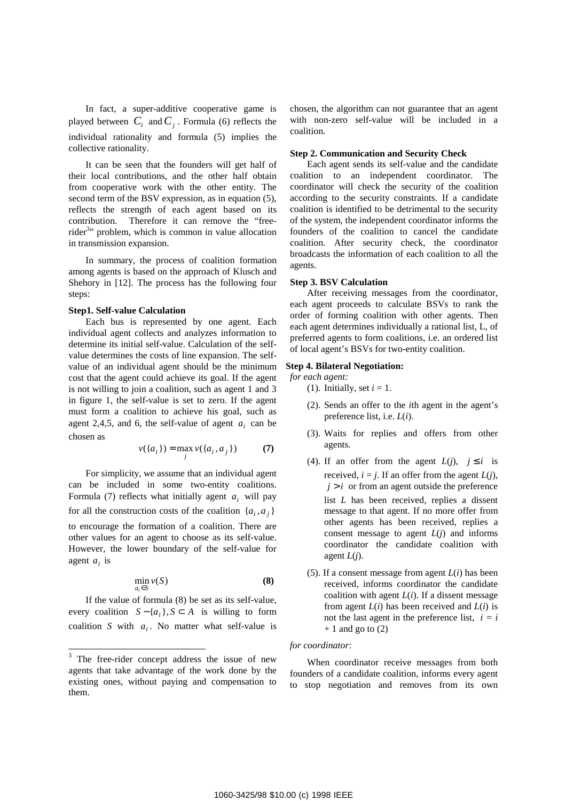In fact, a super-additive cooperative game is played between  $C_i$  and  $C_j$ . Formula (6) reflects the individual rationality and formula (5) implies the collective rationality.

It can be seen that the founders will get half of their local contributions, and the other half obtain from cooperative work with the other entity. The second term of the BSV expression, as in equation (5), reflects the strength of each agent based on its contribution. Therefore it can remove the "freerider<sup>3</sup>" problem, which is common in value allocation in transmission expansion.

In summary, the process of coalition formation among agents is based on the approach of Klusch and Shehory in [12]. The process has the following four steps:

#### **Step1. Self-value Calculation**

Each bus is represented by one agent. Each individual agent collects and analyzes information to determine its initial self-value. Calculation of the selfvalue determines the costs of line expansion. The selfvalue of an individual agent should be the minimum cost that the agent could achieve its goal. If the agent is not willing to join a coalition, such as agent 1 and 3 in figure 1, the self-value is set to zero. If the agent must form a coalition to achieve his goal, such as agent 2,4,5, and 6, the self-value of agent  $a_i$  can be chosen as

$$
v({a_i}) = \max_{j} v({a_i, a_j})
$$
 (7)

For simplicity, we assume that an individual agent can be included in some two-entity coalitions. Formula (7) reflects what initially agent  $a_i$  will pay for all the construction costs of the coalition  $\{a_i, a_j\}$ to encourage the formation of a coalition. There are other values for an agent to choose as its self-value. However, the lower boundary of the self-value for agent *ai* is

$$
\min_{a_i \in S} v(S) \tag{8}
$$

If the value of formula (8) be set as its self-value, every coalition  $S - \{a_i\}$ ,  $S \subset A$  is willing to form coalition *S* with  $a_i$ . No matter what self-value is

 $\overline{a}$ 

chosen, the algorithm can not guarantee that an agent with non-zero self-value will be included in a coalition.

#### **Step 2. Communication and Security Check**

Each agent sends its self-value and the candidate coalition to an independent coordinator. The coordinator will check the security of the coalition according to the security constraints. If a candidate coalition is identified to be detrimental to the security of the system, the independent coordinator informs the founders of the coalition to cancel the candidate coalition. After security check, the coordinator broadcasts the information of each coalition to all the agents.

#### **Step 3. BSV Calculation**

After receiving messages from the coordinator, each agent proceeds to calculate BSVs to rank the order of forming coalition with other agents. Then each agent determines individually a rational list, L, of preferred agents to form coalitions, i.e. an ordered list of local agent's BSVs for two-entity coalition.

#### **Step 4. Bilateral Negotiation:**

- *for each agent:*
	- (1). Initially, set  $i = 1$ .
	- (2). Sends an offer to the *i*th agent in the agent's preference list, i.e. *L*(*i*).
	- (3). Waits for replies and offers from other agents.
	- (4). If an offer from the agent  $L(i)$ ,  $i \leq i$  is received,  $i = j$ . If an offer from the agent  $L(i)$ ,  $i > i$  or from an agent outside the preference list *L* has been received, replies a dissent message to that agent. If no more offer from other agents has been received, replies a consent message to agent  $L(i)$  and informs coordinator the candidate coalition with agent *L*(*j*).
	- (5). If a consent message from agent  $L(i)$  has been received, informs coordinator the candidate coalition with agent  $L(i)$ . If a dissent message from agent  $L(i)$  has been received and  $L(i)$  is not the last agent in the preference list,  $i = i$  $+ 1$  and go to  $(2)$

#### *for coordinator*:

When coordinator receive messages from both founders of a candidate coalition, informs every agent to stop negotiation and removes from its own

<sup>&</sup>lt;sup>3</sup> The free-rider concept address the issue of new agents that take advantage of the work done by the existing ones, without paying and compensation to them.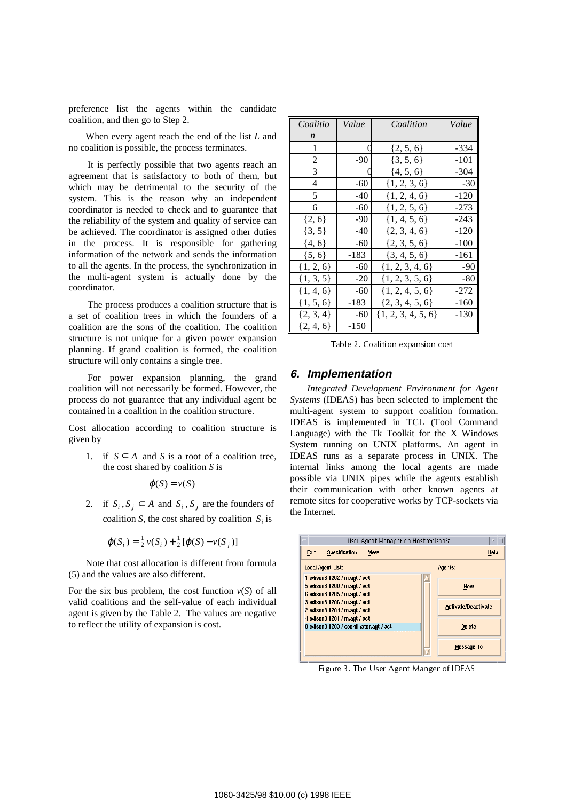preference list the agents within the candidate coalition, and then go to Step 2.

When every agent reach the end of the list *L* and no coalition is possible, the process terminates.

It is perfectly possible that two agents reach an agreement that is satisfactory to both of them, but which may be detrimental to the security of the system. This is the reason why an independent coordinator is needed to check and to guarantee that the reliability of the system and quality of service can be achieved. The coordinator is assigned other duties in the process. It is responsible for gathering information of the network and sends the information to all the agents. In the process, the synchronization in the multi-agent system is actually done by the coordinator.

The process produces a coalition structure that is a set of coalition trees in which the founders of a coalition are the sons of the coalition. The coalition structure is not unique for a given power expansion planning. If grand coalition is formed, the coalition structure will only contains a single tree.

For power expansion planning, the grand coalition will not necessarily be formed. However, the process do not guarantee that any individual agent be contained in a coalition in the coalition structure.

Cost allocation according to coalition structure is given by

1. if  $S \subset A$  and *S* is a root of a coalition tree, the cost shared by coalition *S* is

 $\varphi(S) = v(S)$ 

2. if  $S_i$ ,  $S_j \subset A$  and  $S_i$ ,  $S_j$  are the founders of coalition *S*, the cost shared by coalition  $S_i$  is

$$
\varphi(S_i) = \frac{1}{2} \nu(S_i) + \frac{1}{2} [\varphi(S) - \nu(S_j)]
$$

Note that cost allocation is different from formula (5) and the values are also different.

For the six bus problem, the cost function  $v(S)$  of all valid coalitions and the self-value of each individual agent is given by the Table 2. The values are negative to reflect the utility of expansion is cost.

| Coalitio         | Value | Coalition              | Value  |
|------------------|-------|------------------------|--------|
| $\boldsymbol{n}$ |       |                        |        |
| 1                |       | $\{2, 5, 6\}$          | $-334$ |
| 2                | -90   | $\{3, 5, 6\}$          | -101   |
| 3                |       | $\{4, 5, 6\}$          | $-304$ |
| 4                | -60   | $\{1, 2, 3, 6\}$       | $-30$  |
| 5                | -40   | $\{1, 2, 4, 6\}$       | -120   |
| 6                | -60   | $\{1, 2, 5, 6\}$       | $-273$ |
| $\{2, 6\}$       | -90   | $\{1, 4, 5, 6\}$       | $-243$ |
| $\{3, 5\}$       | -40   | $\{2, 3, 4, 6\}$       | -120   |
| $\{4, 6\}$       | -60   | $\{2, 3, 5, 6\}$       | $-100$ |
| $\{5, 6\}$       | -183  | $\{3, 4, 5, 6\}$       | -161   |
| $\{1, 2, 6\}$    | -60   | $\{1, 2, 3, 4, 6\}$    | $-90$  |
| $\{1, 3, 5\}$    | -20   | $\{1, 2, 3, 5, 6\}$    | -80    |
| $\{1, 4, 6\}$    | -60   | $\{1, 2, 4, 5, 6\}$    | $-272$ |
| $\{1, 5, 6\}$    | -183  | $\{2, 3, 4, 5, 6\}$    | -160   |
| $\{2, 3, 4\}$    | -60   | $\{1, 2, 3, 4, 5, 6\}$ | $-130$ |
| $\{2, 4, 6\}$    | -150  |                        |        |

Table 2. Coalition expansion cost

## **6. Implementation**

*Integrated Development Environment for Agent Systems* (IDEAS) has been selected to implement the multi-agent system to support coalition formation. IDEAS is implemented in TCL (Tool Command Language) with the Tk Toolkit for the X Windows System running on UNIX platforms. An agent in IDEAS runs as a separate process in UNIX. The internal links among the local agents are made possible via UNIX pipes while the agents establish their communication with other known agents at remote sites for cooperative works by TCP-sockets via the Internet.



Figure 3. The User Agent Manger of IDEAS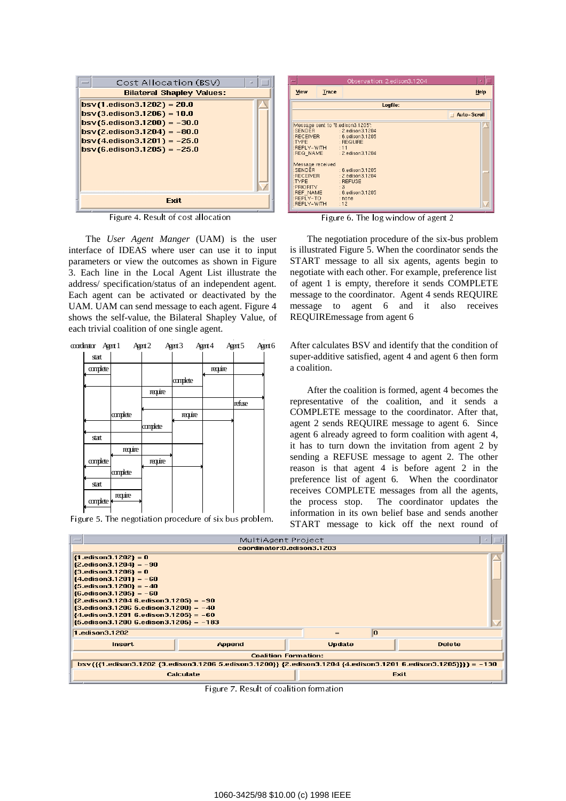| Cost Allocation (BSV)            | a |  |  |  |  |
|----------------------------------|---|--|--|--|--|
| <b>Bilateral Shapley Values:</b> |   |  |  |  |  |
| $bsv(1.edison3.1202) = 20.0$     |   |  |  |  |  |
| $bsv(3.edison3.1206) = 10.0$     |   |  |  |  |  |
| $bsv(5.edison3.1200) = -30.0$    |   |  |  |  |  |
| $bsv(2.edison3.1204) = -80.0$    |   |  |  |  |  |
| $bsv(4.edison3.1201) = -25.0$    |   |  |  |  |  |
| $bsv(6.edison3.1205) = -25.0$    |   |  |  |  |  |
|                                  |   |  |  |  |  |
|                                  |   |  |  |  |  |
|                                  |   |  |  |  |  |
|                                  |   |  |  |  |  |
| Fxit.                            |   |  |  |  |  |
|                                  |   |  |  |  |  |

Figure 4. Result of cost allocation

The *User Agent Manger* (UAM) is the user interface of IDEAS where user can use it to input parameters or view the outcomes as shown in Figure 3. Each line in the Local Agent List illustrate the address/ specification/status of an independent agent. Each agent can be activated or deactivated by the UAM. UAM can send message to each agent. Figure 4 shows the self-value, the Bilateral Shapley Value, of each trivial coalition of one single agent.

|            | coordinator Agent 1 Agent 2 Agent 3 Agent 4 Agent 5 Agent 6 |          |          |         |        |  |
|------------|-------------------------------------------------------------|----------|----------|---------|--------|--|
| stat       |                                                             |          |          |         |        |  |
| complete   |                                                             |          |          | require |        |  |
|            |                                                             |          | complete |         |        |  |
|            |                                                             | require  |          |         |        |  |
|            |                                                             |          |          |         | refuse |  |
|            | complete                                                    |          | require  |         |        |  |
|            |                                                             | complete |          |         |        |  |
| start      |                                                             |          |          |         |        |  |
|            | require                                                     |          |          |         |        |  |
| complete   |                                                             | require  |          |         |        |  |
|            | complete                                                    |          |          |         |        |  |
| start      |                                                             |          |          |         |        |  |
| complete + | require                                                     |          |          |         |        |  |

Figure 5. The negotiation procedure of six bus problem.

|                                                |                                                     |                                                                                                                                              | Observation: 2.edison3.1204<br>п |
|------------------------------------------------|-----------------------------------------------------|----------------------------------------------------------------------------------------------------------------------------------------------|----------------------------------|
| View                                           | <b>Trace</b>                                        |                                                                                                                                              | Help                             |
|                                                |                                                     |                                                                                                                                              | Logfile:                         |
|                                                |                                                     |                                                                                                                                              | $\Box$ Auto - Scroll             |
|                                                | :REPLY-WITH : 11                                    | Message sent to '6.edison3.1205':<br>:SENDER : 2.edison3.1204<br>:RECEIVER : 6.edison3.1205<br>:TYPE : REQUIRE<br>:REQ NAME : 2.edison3.1204 |                                  |
| Message received<br>:TYPE <b>All Contracts</b> | :PRIORITY : 3<br>:REPLY-TO : none<br>:REPLY-WITH:12 | :SENDER : 6.edison3.1205<br>:RECEIVER : 2.edison3.1204<br>$\therefore$ REFUSE<br>:REF_NAME : 6.edison3.1205                                  |                                  |

Figure 6. The log window of agent 2

The negotiation procedure of the six-bus problem is illustrated Figure 5. When the coordinator sends the START message to all six agents, agents begin to negotiate with each other. For example, preference list of agent 1 is empty, therefore it sends COMPLETE message to the coordinator. Agent 4 sends REQUIRE message to agent 6 and it also receives REQUIREmessage from agent 6

After calculates BSV and identify that the condition of super-additive satisfied, agent 4 and agent 6 then form a coalition.

After the coalition is formed, agent 4 becomes the representative of the coalition, and it sends a COMPLETE message to the coordinator. After that, agent 2 sends REQUIRE message to agent 6. Since agent 6 already agreed to form coalition with agent 4, it has to turn down the invitation from agent 2 by sending a REFUSE message to agent 2. The other reason is that agent 4 is before agent 2 in the preference list of agent 6. When the coordinator receives COMPLETE messages from all the agents, the process stop. The coordinator updates the information in its own belief base and sends another START message to kick off the next round of

| MultiAgent Project<br>m.<br>$-$                                                                                                                                                                                                                                                                                 |                            |               |               |  |  |  |  |
|-----------------------------------------------------------------------------------------------------------------------------------------------------------------------------------------------------------------------------------------------------------------------------------------------------------------|----------------------------|---------------|---------------|--|--|--|--|
|                                                                                                                                                                                                                                                                                                                 | coordinator:0.edison3.1203 |               |               |  |  |  |  |
| $\{1 \cdot \text{edison}3.1202\} = 0$<br>${2.}$ edison $3.1204$ } = -90<br>$\{3.\text{edison}3.1206\} = 0$<br>${4.$ edison3.1201} = -60<br>${5.$ edison $3.1200} = -40$<br>${6.$ edison $3.1205} = -60$<br>${2.edison3.1204 6.edison3.1205} = -90$<br>$\{3.\text{edison3.1206} \ 5.\text{edison3.1200}\} = -40$ |                            |               |               |  |  |  |  |
| ${4.edison3.1201\ 6.edison3.1205} = -60$<br>${5.edison3.1200 6.edison3.1205} = -183$                                                                                                                                                                                                                            |                            |               |               |  |  |  |  |
| 1.edison3.1202<br>lo<br>$=$                                                                                                                                                                                                                                                                                     |                            |               |               |  |  |  |  |
| <b>Insert</b>                                                                                                                                                                                                                                                                                                   | <b>Append</b>              | <b>Update</b> | <b>Delete</b> |  |  |  |  |
| <b>Coalition Formation:</b>                                                                                                                                                                                                                                                                                     |                            |               |               |  |  |  |  |
| bsv({{1.edison3.1202 {3.edison3.1206 5.edison3.1200}} {2.edison3.1204 {4.edison3.1201 6.edison3.1205}}}) = -130                                                                                                                                                                                                 |                            |               |               |  |  |  |  |
| Calculate<br>Exit                                                                                                                                                                                                                                                                                               |                            |               |               |  |  |  |  |

Figure 7. Result of coalition formation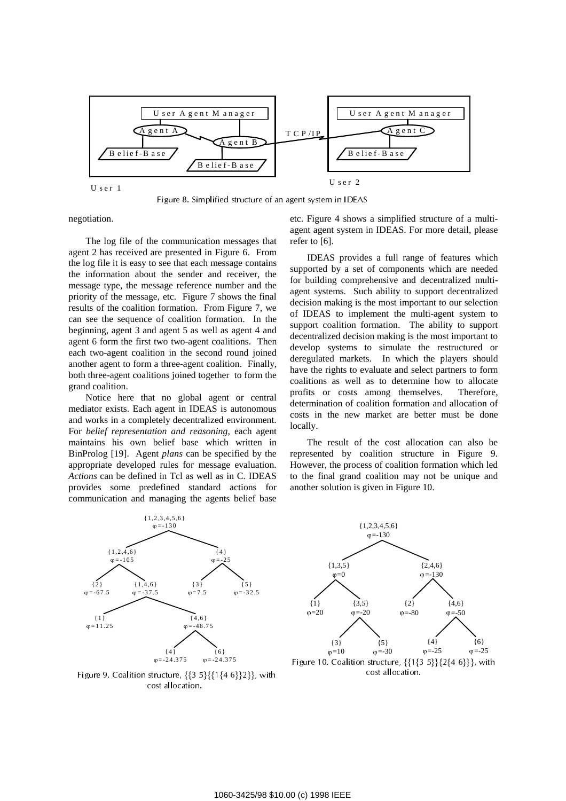

Figure 8. Simplified structure of an agent system in IDEAS

negotiation.

The log file of the communication messages that agent 2 has received are presented in Figure 6. From the log file it is easy to see that each message contains the information about the sender and receiver, the message type, the message reference number and the priority of the message, etc. Figure 7 shows the final results of the coalition formation. From Figure 7, we can see the sequence of coalition formation. In the beginning, agent 3 and agent 5 as well as agent 4 and agent 6 form the first two two-agent coalitions. Then each two-agent coalition in the second round joined another agent to form a three-agent coalition. Finally, both three-agent coalitions joined together to form the grand coalition.

Notice here that no global agent or central mediator exists. Each agent in IDEAS is autonomous and works in a completely decentralized environment. For *belief representation and reasoning,* each agent maintains his own belief base which written in BinProlog [19]. Agent *plans* can be specified by the appropriate developed rules for message evaluation. *Actions* can be defined in Tcl as well as in C. IDEAS provides some predefined standard actions for communication and managing the agents belief base



Figure 9. Coalition structure,  $\{\{3\ 5\}\{\{1\{4\ 6\}\}2\}\}\$ , with cost allocation.

etc. Figure 4 shows a simplified structure of a multiagent agent system in IDEAS. For more detail, please refer to [6].

IDEAS provides a full range of features which supported by a set of components which are needed for building comprehensive and decentralized multiagent systems. Such ability to support decentralized decision making is the most important to our selection of IDEAS to implement the multi-agent system to support coalition formation. The ability to support decentralized decision making is the most important to develop systems to simulate the restructured or deregulated markets. In which the players should have the rights to evaluate and select partners to form coalitions as well as to determine how to allocate profits or costs among themselves. Therefore, determination of coalition formation and allocation of costs in the new market are better must be done locally.

The result of the cost allocation can also be represented by coalition structure in Figure 9. However, the process of coalition formation which led to the final grand coalition may not be unique and another solution is given in Figure 10.

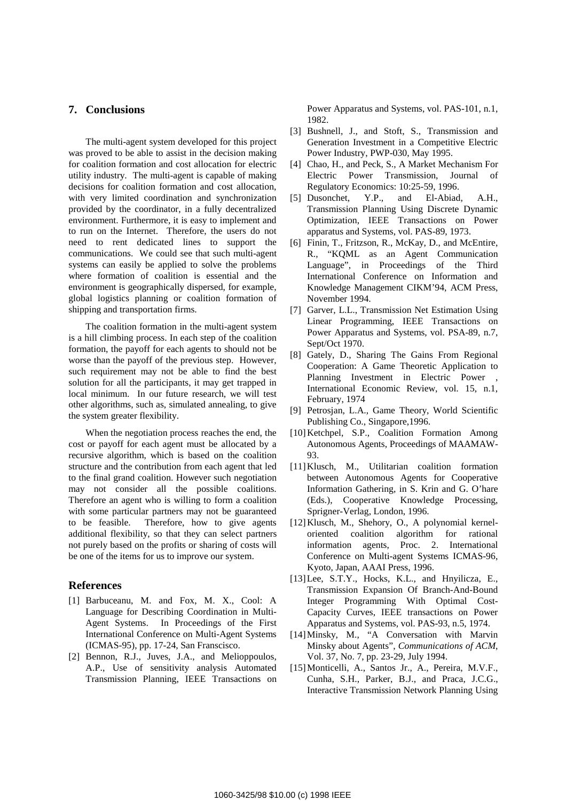## **7. Conclusions**

The multi-agent system developed for this project was proved to be able to assist in the decision making for coalition formation and cost allocation for electric utility industry. The multi-agent is capable of making decisions for coalition formation and cost allocation, with very limited coordination and synchronization provided by the coordinator, in a fully decentralized environment. Furthermore, it is easy to implement and to run on the Internet. Therefore, the users do not need to rent dedicated lines to support the communications. We could see that such multi-agent systems can easily be applied to solve the problems where formation of coalition is essential and the environment is geographically dispersed, for example, global logistics planning or coalition formation of shipping and transportation firms.

The coalition formation in the multi-agent system is a hill climbing process. In each step of the coalition formation, the payoff for each agents to should not be worse than the payoff of the previous step. However, such requirement may not be able to find the best solution for all the participants, it may get trapped in local minimum. In our future research, we will test other algorithms, such as, simulated annealing, to give the system greater flexibility.

When the negotiation process reaches the end, the cost or payoff for each agent must be allocated by a recursive algorithm, which is based on the coalition structure and the contribution from each agent that led to the final grand coalition. However such negotiation may not consider all the possible coalitions. Therefore an agent who is willing to form a coalition with some particular partners may not be guaranteed to be feasible. Therefore, how to give agents additional flexibility, so that they can select partners not purely based on the profits or sharing of costs will be one of the items for us to improve our system.

### **References**

- [1] Barbuceanu, M. and Fox, M. X., Cool: A Language for Describing Coordination in Multi-Agent Systems. In Proceedings of the First International Conference on Multi-Agent Systems (ICMAS-95), pp. 17-24, San Franscisco.
- [2] Bennon, R.J., Juves, J.A., and Melioppoulos, A.P., Use of sensitivity analysis Automated Transmission Planning, IEEE Transactions on

Power Apparatus and Systems, vol. PAS-101, n.1, 1982.

- [3] Bushnell, J., and Stoft, S., Transmission and Generation Investment in a Competitive Electric Power Industry, PWP-030, May 1995.
- [4] Chao, H., and Peck, S., A Market Mechanism For Electric Power Transmission, Journal of Regulatory Economics: 10:25-59, 1996.
- [5] Dusonchet, Y.P., and El-Abiad, A.H., Transmission Planning Using Discrete Dynamic Optimization, IEEE Transactions on Power apparatus and Systems, vol. PAS-89, 1973.
- [6] Finin, T., Fritzson, R., McKay, D., and McEntire, R., "KQML as an Agent Communication Language", in Proceedings of the Third International Conference on Information and Knowledge Management CIKM'94, ACM Press, November 1994.
- [7] Garver, L.L., Transmission Net Estimation Using Linear Programming, IEEE Transactions on Power Apparatus and Systems, vol. PSA-89, n.7, Sept/Oct 1970.
- [8] Gately, D., Sharing The Gains From Regional Cooperation: A Game Theoretic Application to Planning Investment in Electric Power , International Economic Review, vol. 15, n.1, February, 1974
- [9] Petrosjan, L.A., Game Theory, World Scientific Publishing Co., Singapore,1996.
- [10] Ketchpel, S.P., Coalition Formation Among Autonomous Agents, Proceedings of MAAMAW-93.
- [11] Klusch, M., Utilitarian coalition formation between Autonomous Agents for Cooperative Information Gathering, in S. Krin and G. O'hare (Eds.), Cooperative Knowledge Processing, Sprigner-Verlag, London, 1996.
- [12] Klusch, M., Shehory, O., A polynomial kerneloriented coalition algorithm for rational information agents, Proc. 2. International Conference on Multi-agent Systems ICMAS-96, Kyoto, Japan, AAAI Press, 1996.
- [13] Lee, S.T.Y., Hocks, K.L., and Hnyilicza, E., Transmission Expansion Of Branch-And-Bound Integer Programming With Optimal Cost-Capacity Curves, IEEE transactions on Power Apparatus and Systems, vol. PAS-93, n.5, 1974.
- [14] Minsky, M., "A Conversation with Marvin Minsky about Agents", *Communications of ACM*, Vol. 37, No. 7, pp. 23-29, July 1994.
- [15] Monticelli, A., Santos Jr., A., Pereira, M.V.F., Cunha, S.H., Parker, B.J., and Praca, J.C.G., Interactive Transmission Network Planning Using